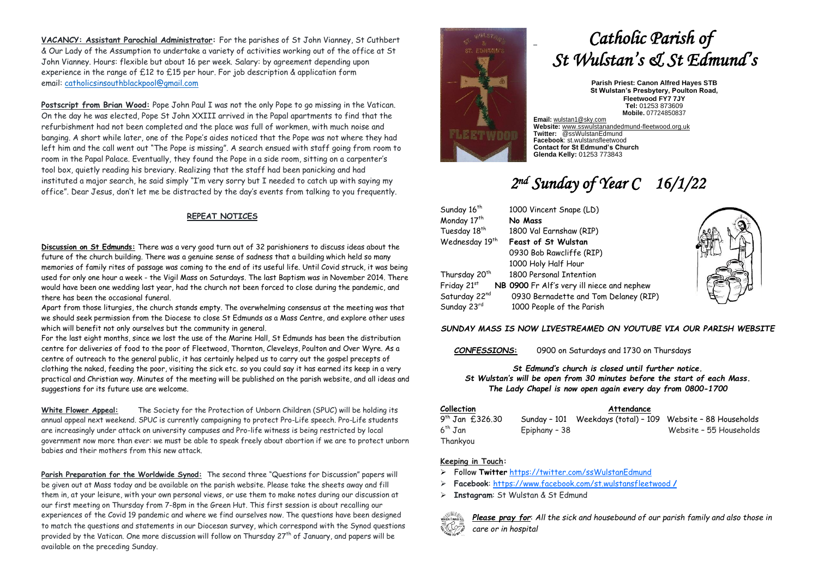**VACANCY: Assistant Parochial Administrator:** For the parishes of St John Vianney, St Cuthbert & Our Lady of the Assumption to undertake a variety of activities working out of the office at St John Vianney. Hours: flexible but about 16 per week. Salary: by agreement depending upon experience in the range of £12 to £15 per hour. For job description & application form email: [catholicsinsouthblackpool@gmail.com](mailto:catholicsinsouthblackpool@gmail.com)

**Postscript from Brian Wood:** Pope John Paul I was not the only Pope to go missing in the Vatican. On the day he was elected, Pope St John XXIII arrived in the Papal apartments to find that the refurbishment had not been completed and the place was full of workmen, with much noise and banging. A short while later, one of the Pope's aides noticed that the Pope was not where they had left him and the call went out "The Pope is missing". A search ensued with staff going from room to room in the Papal Palace. Eventually, they found the Pope in a side room, sitting on a carpenter's tool box, quietly reading his breviary. Realizing that the staff had been panicking and had instituted a major search, he said simply "I'm very sorry but I needed to catch up with saying my office". Dear Jesus, don't let me be distracted by the day's events from talking to you frequently.

### **REPEAT NOTICES**

**Discussion on St Edmunds:** There was a very good turn out of 32 parishioners to discuss ideas about the future of the church building. There was a genuine sense of sadness that a building which held so many memories of family rites of passage was coming to the end of its useful life. Until Covid struck, it was being used for only one hour a week - the Vigil Mass on Saturdays. The last Baptism was in November 2014. There would have been one wedding last year, had the church not been forced to close during the pandemic, and there has been the occasional funeral.

Apart from those liturgies, the church stands empty. The overwhelming consensus at the meeting was that we should seek permission from the Diocese to close St Edmunds as a Mass Centre, and explore other uses which will benefit not only ourselves but the community in general.

For the last eight months, since we lost the use of the Marine Hall, St Edmunds has been the distribution centre for deliveries of food to the poor of Fleetwood, Thornton, Cleveleys, Poulton and Over Wyre. As a centre of outreach to the general public, it has certainly helped us to carry out the gospel precepts of clothing the naked, feeding the poor, visiting the sick etc. so you could say it has earned its keep in a very practical and Christian way. Minutes of the meeting will be published on the parish website, and all ideas and suggestions for its future use are welcome.

**White Flower Appeal:** The Society for the Protection of Unborn Children (SPUC) will be holding its annual appeal next weekend. SPUC is currently campaigning to protect Pro-Life speech. Pro-Life students are increasingly under attack on university campuses and Pro-life witness is being restricted by local government now more than ever: we must be able to speak freely about abortion if we are to protect unborn babies and their mothers from this new attack.

**Parish Preparation for the Worldwide Synod:** The second three "Questions for Discussion" papers will be given out at Mass today and be available on the parish website. Please take the sheets away and fill them in, at your leisure, with your own personal views, or use them to make notes during our discussion at our first meeting on Thursday from 7-8pm in the Green Hut. This first session is about recalling our experiences of the Covid 19 pandemic and where we find ourselves now. The questions have been designed to match the questions and statements in our Diocesan survey, which correspond with the Synod questions provided by the Vatican. One more discussion will follow on Thursday 27<sup>th</sup> of January, and papers will be available on the preceding Sunday.



# *Catholic Parish of St Wulstan's & St Edmund's*

**Parish Priest: Canon Alfred Hayes STB St Wulstan's Presbytery, Poulton Road, Fleetwood FY7 7JY Tel:** 01253 873609 **Mobile.** 07724850837

**Email:** [wulstan1@sky.com](mailto:wulstan1@sky.com) **Website:** [www.sswulstanandedmund-fleetwood.org.uk](http://www.sswulstanandedmund-fleetwood.org.uk/) **Twitter:** @ssWulstanEdmund **Facebook**: st.wulstansfleetwood **Contact for St Edmund's Church Glenda Kelly:** 01253 773843

## *2 nd Sunday of Year C 16/1/22*

| Sunday 16 <sup>th</sup>    | 1000 Vincent Snape (LD)                    |  |  |  |
|----------------------------|--------------------------------------------|--|--|--|
| Monday 17th                | No Mass                                    |  |  |  |
| Tuesday 18 <sup>th</sup>   | 1800 Val Earnshaw (RIP)                    |  |  |  |
| Wednesday 19 <sup>th</sup> | <b>Feast of St Wulstan</b>                 |  |  |  |
|                            | 0930 Bob Rawcliffe (RIP)                   |  |  |  |
|                            | 1000 Holy Half Hour                        |  |  |  |
| Thursday 20 <sup>th</sup>  | 1800 Personal Intention                    |  |  |  |
| Friday 21st                | NB 0900 Fr Alf's very ill niece and nephew |  |  |  |
| Saturday 22nd              | 0930 Bernadette and Tom Delaney (RIP)      |  |  |  |
| Sunday 23rd                | 1000 People of the Parish                  |  |  |  |



### *SUNDAY MASS IS NOW LIVESTREAMED ON YOUTUBE VIA OUR PARISH WEBSITE*

*CONFESSIONS***:** 0900 on Saturdays and 1730 on Thursdays

*St Edmund's church is closed until further notice. St Wulstan's will be open from 30 minutes before the start of each Mass. The Lady Chapel is now open again every day from 0800-1700*

| <b>Collection</b>    |               | Attendance |                                                             |
|----------------------|---------------|------------|-------------------------------------------------------------|
| $9^{th}$ Jan £326.30 |               |            | Sunday - 101 Weekdays (total) - 109 Website - 88 Households |
| $6^{th}$ Jan         | Epiphany - 38 |            | Website - 55 Households                                     |
| Thankyou             |               |            |                                                             |

### **Keeping in Touch:**

- ➢ Follow **Twitter** <https://twitter.com/ssWulstanEdmund>
- ➢ **Facebook**: https://www.facebook.com/st.wulstansfleetwood **/**
- ➢ **Instagram**: St Wulstan & St Edmund



*Please pray for*: *All the sick and housebound of our parish family and also those in care or in hospital*